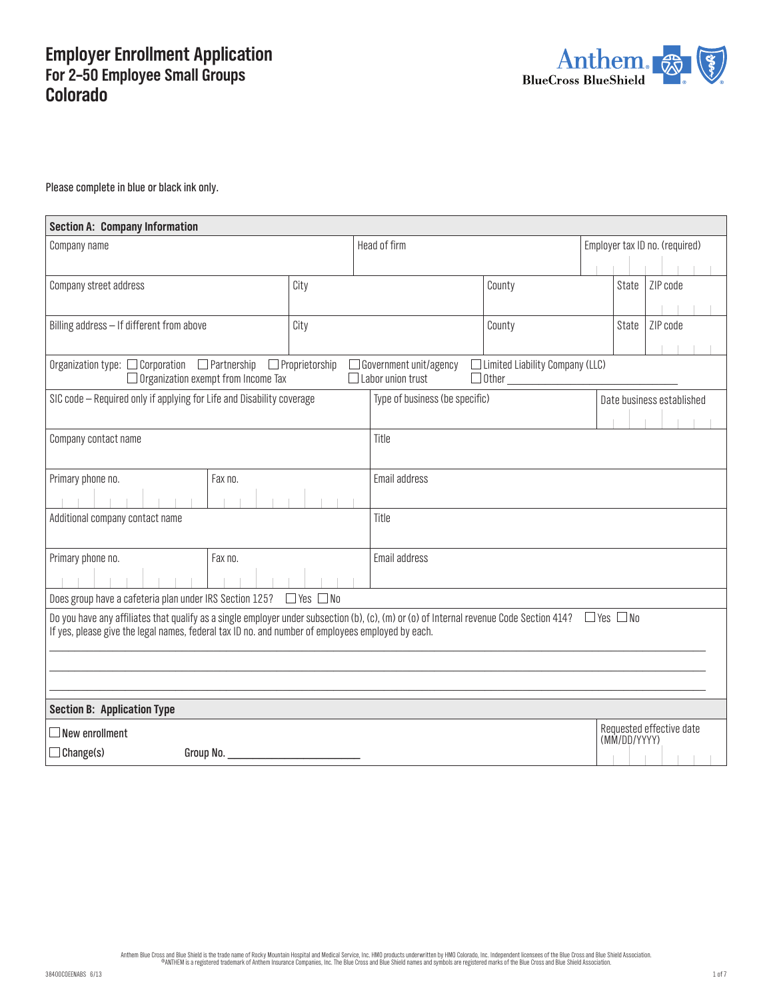# **Employer Enrollment Application For 2–50 Employee Small Groups Colorado**



Please complete in blue or black ink only.

| <b>Section A: Company Information</b>                                                                                                                                                                                                                              |                       |                                                           |                                                        |  |              |                                |
|--------------------------------------------------------------------------------------------------------------------------------------------------------------------------------------------------------------------------------------------------------------------|-----------------------|-----------------------------------------------------------|--------------------------------------------------------|--|--------------|--------------------------------|
| Company name                                                                                                                                                                                                                                                       |                       | Head of firm                                              |                                                        |  |              | Employer tax ID no. (required) |
|                                                                                                                                                                                                                                                                    |                       |                                                           |                                                        |  |              |                                |
| Company street address                                                                                                                                                                                                                                             | City                  |                                                           | County                                                 |  | <b>State</b> | ZIP code                       |
|                                                                                                                                                                                                                                                                    |                       |                                                           |                                                        |  |              |                                |
| Billing address - If different from above                                                                                                                                                                                                                          | City                  |                                                           | County                                                 |  | State        | ZIP code                       |
|                                                                                                                                                                                                                                                                    |                       |                                                           |                                                        |  |              |                                |
| $\Box$ Partnership<br>Organization type: $\Box$ Corporation<br>$\Box$ Organization exempt from Income Tax                                                                                                                                                          | $\Box$ Proprietorship | $\Box$ Government unit/agency<br>$\Box$ Labor union trust | $\Box$ Limited Liability Company (LLC)<br>$\Box$ Other |  |              |                                |
| SIC code - Required only if applying for Life and Disability coverage                                                                                                                                                                                              |                       | Type of business (be specific)                            |                                                        |  |              | Date business established      |
|                                                                                                                                                                                                                                                                    |                       |                                                           |                                                        |  |              |                                |
| Company contact name                                                                                                                                                                                                                                               |                       | Title                                                     |                                                        |  |              |                                |
| Primary phone no.<br>Fax no.                                                                                                                                                                                                                                       |                       | Email address                                             |                                                        |  |              |                                |
|                                                                                                                                                                                                                                                                    |                       |                                                           |                                                        |  |              |                                |
| Additional company contact name                                                                                                                                                                                                                                    |                       | Title                                                     |                                                        |  |              |                                |
| Fax no.<br>Primary phone no.                                                                                                                                                                                                                                       |                       | Email address                                             |                                                        |  |              |                                |
|                                                                                                                                                                                                                                                                    |                       |                                                           |                                                        |  |              |                                |
| Does group have a cafeteria plan under IRS Section 125?                                                                                                                                                                                                            | $\Box$ Yes $\Box$ No  |                                                           |                                                        |  |              |                                |
| Do you have any affiliates that qualify as a single employer under subsection (b), (c), (m) or (o) of Internal revenue Code Section 414? $\Box$ Yes $\Box$ No<br>If yes, please give the legal names, federal tax ID no. and number of employees employed by each. |                       |                                                           |                                                        |  |              |                                |
| <b>Section B: Application Type</b>                                                                                                                                                                                                                                 |                       |                                                           |                                                        |  |              |                                |
| $\exists$ New enrollment                                                                                                                                                                                                                                           |                       |                                                           |                                                        |  | (MM/DD/YYYY) | Requested effective date       |
| $\Box$ Change(s)<br>Group No.                                                                                                                                                                                                                                      |                       |                                                           |                                                        |  |              |                                |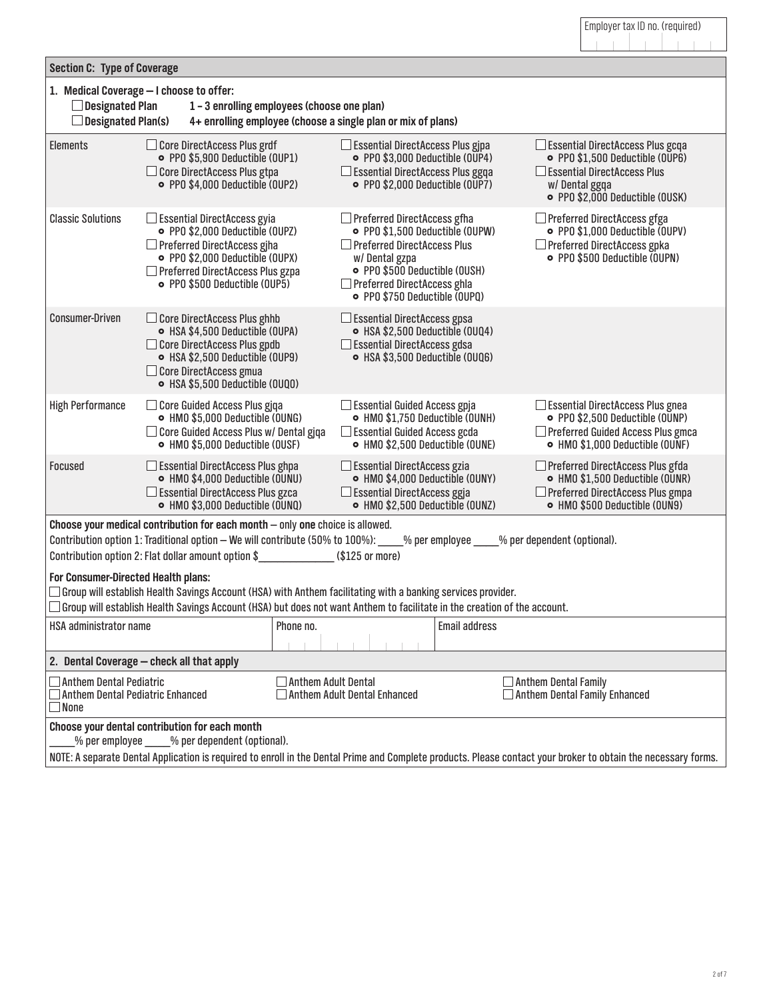|                                                                                               |                                                                                                                                                                                                                                                                                               |                            |                                                                                                                                                                                                                                      |                      | Employer tax ID no. (required)                                                                                                                                 |  |
|-----------------------------------------------------------------------------------------------|-----------------------------------------------------------------------------------------------------------------------------------------------------------------------------------------------------------------------------------------------------------------------------------------------|----------------------------|--------------------------------------------------------------------------------------------------------------------------------------------------------------------------------------------------------------------------------------|----------------------|----------------------------------------------------------------------------------------------------------------------------------------------------------------|--|
| <b>Section C: Type of Coverage</b>                                                            |                                                                                                                                                                                                                                                                                               |                            |                                                                                                                                                                                                                                      |                      |                                                                                                                                                                |  |
| <b>Designated Plan</b><br><b>Designated Plan(s)</b>                                           | 1. Medical Coverage - I choose to offer:<br>1-3 enrolling employees (choose one plan)                                                                                                                                                                                                         |                            | 4+ enrolling employee (choose a single plan or mix of plans)                                                                                                                                                                         |                      |                                                                                                                                                                |  |
| <b>Elements</b>                                                                               | $\Box$ Core DirectAccess Plus grdf<br>· PPO \$5,900 Deductible (OUP1)<br>$\Box$ Core DirectAccess Plus gtpa<br>• PPO \$4,000 Deductible (OUP2)                                                                                                                                                |                            | $\Box$ Essential DirectAccess Plus gjpa<br>• PPO \$3,000 Deductible (OUP4)<br>$\Box$ Essential DirectAccess Plus ggqa<br>• PPO \$2,000 Deductible (OUP7)                                                                             |                      | $\Box$ Essential DirectAccess Plus gcqa<br>• PPO \$1,500 Deductible (OUP6)<br>Essential DirectAccess Plus<br>w/Dental ggqa<br>• PPO \$2,000 Deductible (OUSK)  |  |
| <b>Classic Solutions</b>                                                                      | $\Box$ Essential DirectAccess gyia<br>• PPO \$2,000 Deductible (OUPZ)<br>$\Box$ Preferred DirectAccess giha<br>• PPO \$2,000 Deductible (OUPX)<br>$\Box$ Preferred DirectAccess Plus gzpa<br>• PPO \$500 Deductible (OUP5)                                                                    |                            | $\Box$ Preferred DirectAccess gfha<br>• PPO \$1,500 Deductible (OUPW)<br>$\Box$ Preferred DirectAccess Plus<br>w/Dental gzpa<br>• PPO \$500 Deductible (OUSH)<br>$\Box$ Preferred DirectAccess ghla<br>• PPO \$750 Deductible (OUPQ) |                      | $\Box$ Preferred DirectAccess gfga<br>· PPO \$1,000 Deductible (OUPV)<br>$\Box$ Preferred DirectAccess gpka<br>• PPO \$500 Deductible (OUPN)                   |  |
| <b>Consumer-Driven</b>                                                                        | $\Box$ Core DirectAccess Plus ghhb<br>• HSA \$4,500 Deductible (OUPA)<br>$\Box$ Core DirectAccess Plus gpdb<br>• HSA \$2,500 Deductible (OUP9)<br>$\Box$ Core DirectAccess gmua<br>• HSA \$5,500 Deductible (0UQ0)                                                                            |                            | $\Box$ Essential DirectAccess gpsa<br>• HSA \$2,500 Deductible (0UQ4)<br>$\Box$ Essential DirectAccess gdsa<br>• HSA \$3,500 Deductible (OUQ6)                                                                                       |                      |                                                                                                                                                                |  |
| <b>High Performance</b>                                                                       | $\Box$ Core Guided Access Plus giga<br>• HMO \$5,000 Deductible (OUNG)<br>$\Box$ Core Guided Access Plus w/ Dental gjqa<br>• HMO \$5,000 Deductible (OUSF)                                                                                                                                    |                            | $\Box$ Essential Guided Access gpja<br>• HMO \$1,750 Deductible (OUNH)<br>$\square$ Essential Guided Access gcda<br>• HMO \$2,500 Deductible (OUNE)                                                                                  |                      | $\Box$ Essential DirectAccess Plus gnea<br>• PPO \$2,500 Deductible (OUNP)<br>$\Box$ Preferred Guided Access Plus gmca<br>• HMO \$1,000 Deductible (OUNF)      |  |
| Focused                                                                                       | $\Box$ Essential DirectAccess Plus ghpa<br>• HMO \$4,000 Deductible (OUNU)<br>$\Box$ Essential DirectAccess Plus gzca<br>• HMO \$3,000 Deductible (OUNQ)                                                                                                                                      |                            | $\Box$ Essential DirectAccess gzia<br>• HMO \$4,000 Deductible (OUNY)<br>$\Box$ Essential DirectAccess ggja<br>• HMO \$2,500 Deductible (OUNZ)                                                                                       |                      | $\Box$ Preferred DirectAccess Plus gfda<br>• HMO \$1,500 Deductible (OUNR)<br>$\Box$ Preferred DirectAccess Plus gmpa<br>• HMO \$500 Deductible (OUN9)         |  |
|                                                                                               | Choose your medical contribution for each month $-$ only one choice is allowed.<br>Contribution option 1: Traditional option - We will contribute (50% to 100%):<br>Contribution option 2: Flat dollar amount option \$                                                                       |                            | (\$125 or more)                                                                                                                                                                                                                      | % per employee       | % per dependent (optional).                                                                                                                                    |  |
|                                                                                               | For Consumer-Directed Health plans:<br>$\Box$ Group will establish Health Savings Account (HSA) with Anthem facilitating with a banking services provider.<br>$\Box$ Group will establish Health Savings Account (HSA) but does not want Anthem to facilitate in the creation of the account. |                            |                                                                                                                                                                                                                                      |                      |                                                                                                                                                                |  |
| <b>HSA administrator name</b>                                                                 |                                                                                                                                                                                                                                                                                               | Phone no.                  |                                                                                                                                                                                                                                      | <b>Email address</b> |                                                                                                                                                                |  |
|                                                                                               | 2. Dental Coverage - check all that apply                                                                                                                                                                                                                                                     |                            |                                                                                                                                                                                                                                      |                      |                                                                                                                                                                |  |
| $\Box$ Anthem Dental Pediatric<br>$\Box$ Anthem Dental Pediatric Enhanced<br>$\lrcorner$ None |                                                                                                                                                                                                                                                                                               | <b>Anthem Adult Dental</b> | <b>Anthem Adult Dental Enhanced</b>                                                                                                                                                                                                  |                      | $\Box$ Anthem Dental Family<br>Anthem Dental Family Enhanced                                                                                                   |  |
| % per employee                                                                                | Choose your dental contribution for each month<br>_% per dependent (optional).                                                                                                                                                                                                                |                            |                                                                                                                                                                                                                                      |                      |                                                                                                                                                                |  |
|                                                                                               |                                                                                                                                                                                                                                                                                               |                            |                                                                                                                                                                                                                                      |                      | NOTE: A separate Dental Application is required to enroll in the Dental Prime and Complete products. Please contact your broker to obtain the necessary forms. |  |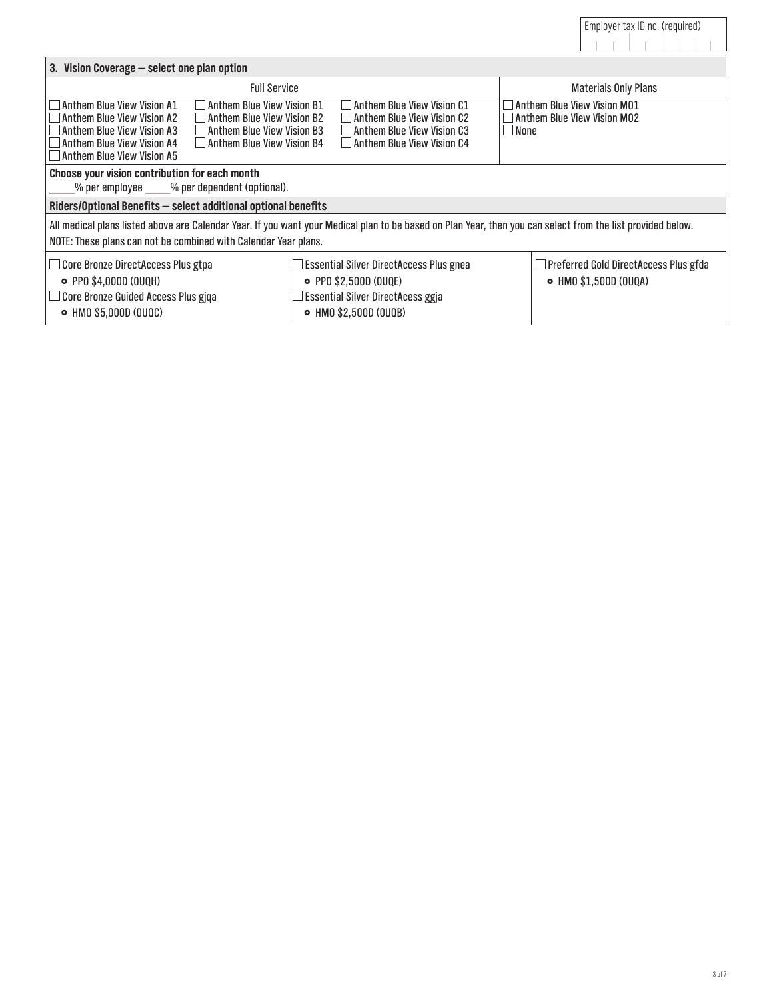| 3. Vision Coverage - select one plan option                                                                                                                                                                                                                                                     |                                                                                                                                                                                                                                |                                                                       |  |  |  |  |  |
|-------------------------------------------------------------------------------------------------------------------------------------------------------------------------------------------------------------------------------------------------------------------------------------------------|--------------------------------------------------------------------------------------------------------------------------------------------------------------------------------------------------------------------------------|-----------------------------------------------------------------------|--|--|--|--|--|
| <b>Full Service</b>                                                                                                                                                                                                                                                                             |                                                                                                                                                                                                                                | <b>Materials Only Plans</b>                                           |  |  |  |  |  |
| Anthem Blue View Vision A1<br>$\Box$ Anthem Blue View Vision B1<br>$\Box$ Anthem Blue View Vision B2<br>Anthem Blue View Vision A2<br>Anthem Blue View Vision A3<br>Anthem Blue View Vision B3<br>Anthem Blue View Vision A4<br>$\Box$ Anthem Blue View Vision B4<br>Anthem Blue View Vision A5 | Anthem Blue View Vision C1<br>Anthem Blue View Vision C2<br>Anthem Blue View Vision C3<br>$\Box$ Anthem Blue View Vision C4                                                                                                    | Anthem Blue View Vision M01<br>Anthem Blue View Vision MO2<br>  None  |  |  |  |  |  |
| Choose your vision contribution for each month                                                                                                                                                                                                                                                  | $%$ per employee $%$ per dependent (optional).                                                                                                                                                                                 |                                                                       |  |  |  |  |  |
| Riders/Optional Benefits - select additional optional benefits                                                                                                                                                                                                                                  |                                                                                                                                                                                                                                |                                                                       |  |  |  |  |  |
|                                                                                                                                                                                                                                                                                                 | All medical plans listed above are Calendar Year. If you want your Medical plan to be based on Plan Year, then you can select from the list provided below.<br>NOTE: These plans can not be combined with Calendar Year plans. |                                                                       |  |  |  |  |  |
| Core Bronze DirectAccess Plus gtpa<br>• PPO \$4,000D (OUQH)<br>Core Bronze Guided Access Plus gjqa<br>• HMO \$5,000D (OUQC)                                                                                                                                                                     | $\Box$ Essential Silver DirectAccess Plus gnea<br>• PPO \$2,500D (OUQE)<br>Essential Silver DirectAcess ggja<br>• HMO \$2,500D (OUQB)                                                                                          | $\Box$ Preferred Gold DirectAccess Plus gfda<br>• HMO \$1,500D (OUQA) |  |  |  |  |  |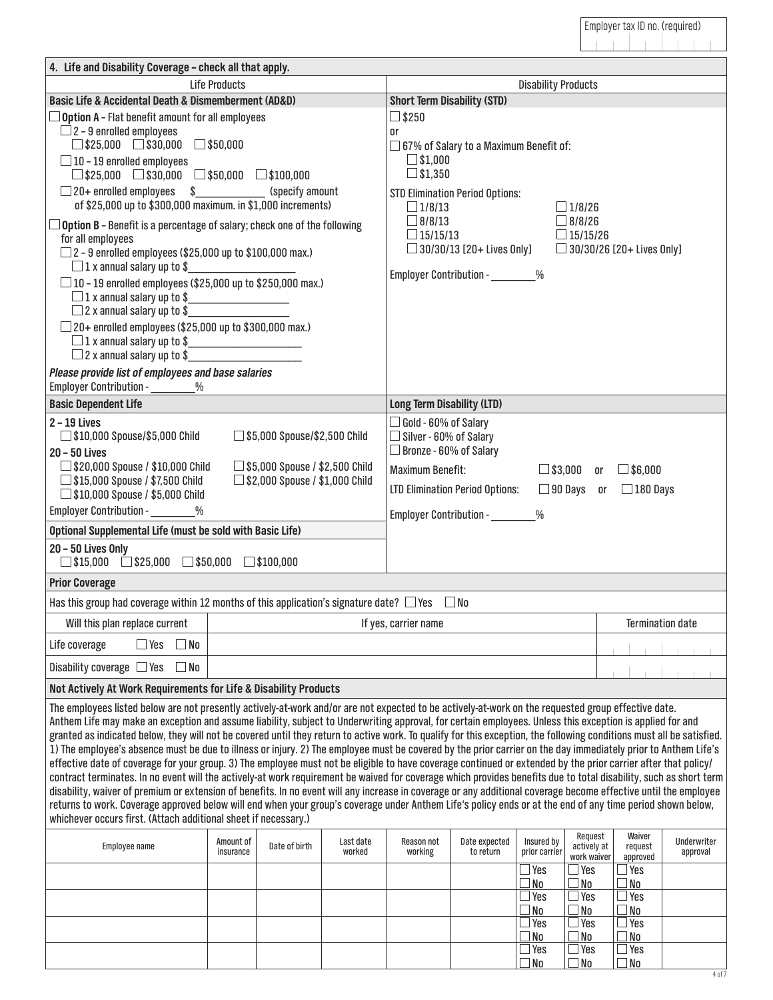| 4. Life and Disability Coverage - check all that apply.                                                                                                                                                                                                                                                                                                                                                                                                                                                                                                                                                                                                                                                                                                                                                                                                                                                                                                                                                                                                                                                                                                                                                                                                                                                                                                                                                 |                        |                                                                              |                     |                                                                                                                          |                                                                                                                                |                                              |                                                        |                                                |                         |
|---------------------------------------------------------------------------------------------------------------------------------------------------------------------------------------------------------------------------------------------------------------------------------------------------------------------------------------------------------------------------------------------------------------------------------------------------------------------------------------------------------------------------------------------------------------------------------------------------------------------------------------------------------------------------------------------------------------------------------------------------------------------------------------------------------------------------------------------------------------------------------------------------------------------------------------------------------------------------------------------------------------------------------------------------------------------------------------------------------------------------------------------------------------------------------------------------------------------------------------------------------------------------------------------------------------------------------------------------------------------------------------------------------|------------------------|------------------------------------------------------------------------------|---------------------|--------------------------------------------------------------------------------------------------------------------------|--------------------------------------------------------------------------------------------------------------------------------|----------------------------------------------|--------------------------------------------------------|------------------------------------------------|-------------------------|
|                                                                                                                                                                                                                                                                                                                                                                                                                                                                                                                                                                                                                                                                                                                                                                                                                                                                                                                                                                                                                                                                                                                                                                                                                                                                                                                                                                                                         | <b>Life Products</b>   |                                                                              |                     |                                                                                                                          |                                                                                                                                | <b>Disability Products</b>                   |                                                        |                                                |                         |
| Basic Life & Accidental Death & Dismemberment (AD&D)                                                                                                                                                                                                                                                                                                                                                                                                                                                                                                                                                                                                                                                                                                                                                                                                                                                                                                                                                                                                                                                                                                                                                                                                                                                                                                                                                    |                        |                                                                              |                     | <b>Short Term Disability (STD)</b>                                                                                       |                                                                                                                                |                                              |                                                        |                                                |                         |
| $\Box$ Option A - Flat benefit amount for all employees<br>$\Box$ 2 - 9 enrolled employees<br>$\Box$ \$25,000 $\Box$ \$30,000<br>$\Box$ 10 - 19 enrolled employees<br>$\Box$ \$25,000 $\Box$ \$30,000 $\Box$ \$50,000 $\Box$ \$100,000<br>□ 20+ enrolled employees \$___________<br>of \$25,000 up to \$300,000 maximum. in \$1,000 increments)<br>$\Box$ Option B - Benefit is a percentage of salary; check one of the following<br>for all employees<br>$\Box$ 2 - 9 enrolled employees (\$25,000 up to \$100,000 max.)                                                                                                                                                                                                                                                                                                                                                                                                                                                                                                                                                                                                                                                                                                                                                                                                                                                                              | $\square$ \$50,000     | (specify amount                                                              |                     | $\square$ \$250<br>or<br>$\Box$ \$1,000<br>$\square$ \$1,350<br>$\Box$ 1/8/13<br>$\Box$ 8/8/13<br>$\Box$ 15/15/13        | $\square$ 67% of Salary to a Maximum Benefit of:<br><b>STD Elimination Period Options:</b><br>$\Box$ 30/30/13 [20+ Lives Only] |                                              | $\Box$ 1/8/26<br>$\Box$ 8/8/26<br>$\Box$ 15/15/26      | $\Box$ 30/30/26 [20+ Lives Only]               |                         |
| $\Box$ 1 x annual salary up to \$<br>$\square$ 10 - 19 enrolled employees (\$25,000 up to \$250,000 max.)<br>□ 2 x annual salary up to \$<br>$\Box$ 20+ enrolled employees (\$25,000 up to \$300,000 max.)<br>$\Box$ 1 x annual salary up to \$ $\Box$ 2 x annual salary up to \$ $\Box$<br>Please provide list of employees and base salaries                                                                                                                                                                                                                                                                                                                                                                                                                                                                                                                                                                                                                                                                                                                                                                                                                                                                                                                                                                                                                                                          |                        |                                                                              |                     |                                                                                                                          | Employer Contribution - 96                                                                                                     |                                              |                                                        |                                                |                         |
| Employer Contribution - ________%                                                                                                                                                                                                                                                                                                                                                                                                                                                                                                                                                                                                                                                                                                                                                                                                                                                                                                                                                                                                                                                                                                                                                                                                                                                                                                                                                                       |                        |                                                                              |                     |                                                                                                                          |                                                                                                                                |                                              |                                                        |                                                |                         |
| <b>Basic Dependent Life</b>                                                                                                                                                                                                                                                                                                                                                                                                                                                                                                                                                                                                                                                                                                                                                                                                                                                                                                                                                                                                                                                                                                                                                                                                                                                                                                                                                                             |                        |                                                                              |                     | <b>Long Term Disability (LTD)</b>                                                                                        |                                                                                                                                |                                              |                                                        |                                                |                         |
| $2 - 19$ Lives<br>$\Box$ \$10,000 Spouse/\$5,000 Child<br>20 - 50 Lives<br>$\Box$ \$20,000 Spouse / \$10,000 Child                                                                                                                                                                                                                                                                                                                                                                                                                                                                                                                                                                                                                                                                                                                                                                                                                                                                                                                                                                                                                                                                                                                                                                                                                                                                                      |                        | $\Box$ \$5,000 Spouse/\$2,500 Child<br>$\Box$ \$5,000 Spouse / \$2,500 Child |                     | $\Box$ Gold - 60% of Salary<br>$\Box$ Silver - 60% of Salary<br>$\Box$ Bronze - 60% of Salary<br><b>Maximum Benefit:</b> |                                                                                                                                |                                              |                                                        | $\Box$ \$3,000 or $\Box$ \$6,000               |                         |
| $\Box$ \$15,000 Spouse / \$7,500 Child<br>$\Box$ \$2,000 Spouse / \$1,000 Child<br>$\Box$ \$10,000 Spouse / \$5,000 Child<br>Employer Contribution - ________%                                                                                                                                                                                                                                                                                                                                                                                                                                                                                                                                                                                                                                                                                                                                                                                                                                                                                                                                                                                                                                                                                                                                                                                                                                          |                        |                                                                              |                     | $\Box$ 90 Days or $\Box$ 180 Days<br><b>LTD Elimination Period Options:</b><br>Employer Contribution - ________%         |                                                                                                                                |                                              |                                                        |                                                |                         |
| Optional Supplemental Life (must be sold with Basic Life)                                                                                                                                                                                                                                                                                                                                                                                                                                                                                                                                                                                                                                                                                                                                                                                                                                                                                                                                                                                                                                                                                                                                                                                                                                                                                                                                               |                        |                                                                              |                     |                                                                                                                          |                                                                                                                                |                                              |                                                        |                                                |                         |
| 20 - 50 Lives Only<br>$\Box$ \$15,000 $\Box$ \$25,000 $\Box$ \$50,000 $\Box$ \$100,000                                                                                                                                                                                                                                                                                                                                                                                                                                                                                                                                                                                                                                                                                                                                                                                                                                                                                                                                                                                                                                                                                                                                                                                                                                                                                                                  |                        |                                                                              |                     |                                                                                                                          |                                                                                                                                |                                              |                                                        |                                                |                         |
| <b>Prior Coverage</b>                                                                                                                                                                                                                                                                                                                                                                                                                                                                                                                                                                                                                                                                                                                                                                                                                                                                                                                                                                                                                                                                                                                                                                                                                                                                                                                                                                                   |                        |                                                                              |                     |                                                                                                                          |                                                                                                                                |                                              |                                                        |                                                |                         |
| Has this group had coverage within 12 months of this application's signature date? $\Box$ Yes $\Box$ No                                                                                                                                                                                                                                                                                                                                                                                                                                                                                                                                                                                                                                                                                                                                                                                                                                                                                                                                                                                                                                                                                                                                                                                                                                                                                                 |                        |                                                                              |                     |                                                                                                                          |                                                                                                                                |                                              |                                                        |                                                |                         |
| Will this plan replace current                                                                                                                                                                                                                                                                                                                                                                                                                                                                                                                                                                                                                                                                                                                                                                                                                                                                                                                                                                                                                                                                                                                                                                                                                                                                                                                                                                          |                        |                                                                              |                     | <b>Termination date</b><br>If yes, carrier name                                                                          |                                                                                                                                |                                              |                                                        |                                                |                         |
| $\Box$ Yes<br>$\square$ No<br>Life coverage                                                                                                                                                                                                                                                                                                                                                                                                                                                                                                                                                                                                                                                                                                                                                                                                                                                                                                                                                                                                                                                                                                                                                                                                                                                                                                                                                             |                        |                                                                              |                     |                                                                                                                          |                                                                                                                                |                                              |                                                        |                                                |                         |
| Disability coverage $\Box$ Yes<br>$\Box$ No                                                                                                                                                                                                                                                                                                                                                                                                                                                                                                                                                                                                                                                                                                                                                                                                                                                                                                                                                                                                                                                                                                                                                                                                                                                                                                                                                             |                        |                                                                              |                     |                                                                                                                          |                                                                                                                                |                                              |                                                        |                                                |                         |
| Not Actively At Work Requirements for Life & Disability Products                                                                                                                                                                                                                                                                                                                                                                                                                                                                                                                                                                                                                                                                                                                                                                                                                                                                                                                                                                                                                                                                                                                                                                                                                                                                                                                                        |                        |                                                                              |                     |                                                                                                                          |                                                                                                                                |                                              |                                                        |                                                |                         |
| The employees listed below are not presently actively-at-work and/or are not expected to be actively-at-work on the requested group effective date.<br>Anthem Life may make an exception and assume liability, subject to Underwriting approval, for certain employees. Unless this exception is applied for and<br>granted as indicated below, they will not be covered until they return to active work. To qualify for this exception, the following conditions must all be satisfied.<br>1) The employee's absence must be due to illness or injury. 2) The employee must be covered by the prior carrier on the day immediately prior to Anthem Life's<br>effective date of coverage for your group. 3) The employee must not be eligible to have coverage continued or extended by the prior carrier after that policy/<br>contract terminates. In no event will the actively-at work requirement be waived for coverage which provides benefits due to total disability, such as short term<br>disability, waiver of premium or extension of benefits. In no event will any increase in coverage or any additional coverage become effective until the employee<br>returns to work. Coverage approved below will end when your group's coverage under Anthem Life's policy ends or at the end of any time period shown below,<br>whichever occurs first. (Attach additional sheet if necessary.) |                        |                                                                              |                     |                                                                                                                          |                                                                                                                                |                                              |                                                        |                                                |                         |
| Employee name                                                                                                                                                                                                                                                                                                                                                                                                                                                                                                                                                                                                                                                                                                                                                                                                                                                                                                                                                                                                                                                                                                                                                                                                                                                                                                                                                                                           | Amount of<br>insurance | Date of birth                                                                | Last date<br>worked | Reason not<br>working                                                                                                    | Date expected<br>to return                                                                                                     | Insured by<br>prior carrier<br>$\square$ Yes | Request<br>actively at<br>work waiver<br>$\exists$ Yes | Waiver<br>request<br>approved<br>$\exists$ Yes | Underwriter<br>approval |
|                                                                                                                                                                                                                                                                                                                                                                                                                                                                                                                                                                                                                                                                                                                                                                                                                                                                                                                                                                                                                                                                                                                                                                                                                                                                                                                                                                                                         |                        |                                                                              |                     |                                                                                                                          |                                                                                                                                | $\Box$ No                                    | $\square$ No                                           | $\Box$ No                                      |                         |
|                                                                                                                                                                                                                                                                                                                                                                                                                                                                                                                                                                                                                                                                                                                                                                                                                                                                                                                                                                                                                                                                                                                                                                                                                                                                                                                                                                                                         |                        |                                                                              |                     |                                                                                                                          |                                                                                                                                | $\Box$ Yes<br>$\square$ No                   | ∃Yes<br>$\square$ No                                   | $\exists$ Yes<br>$\Box$ No                     |                         |
|                                                                                                                                                                                                                                                                                                                                                                                                                                                                                                                                                                                                                                                                                                                                                                                                                                                                                                                                                                                                                                                                                                                                                                                                                                                                                                                                                                                                         |                        |                                                                              |                     |                                                                                                                          |                                                                                                                                | $\Box$ Yes                                   | $\exists$ Yes                                          | $\Box$ Yes                                     |                         |
|                                                                                                                                                                                                                                                                                                                                                                                                                                                                                                                                                                                                                                                                                                                                                                                                                                                                                                                                                                                                                                                                                                                                                                                                                                                                                                                                                                                                         |                        |                                                                              |                     |                                                                                                                          |                                                                                                                                | $\Box$ No<br>$\Box$ Yes                      | $\square$ No<br>$\exists$ Yes                          | $\square$ No<br>$\exists$ Yes                  |                         |
|                                                                                                                                                                                                                                                                                                                                                                                                                                                                                                                                                                                                                                                                                                                                                                                                                                                                                                                                                                                                                                                                                                                                                                                                                                                                                                                                                                                                         |                        |                                                                              |                     |                                                                                                                          |                                                                                                                                | $\Box$ No                                    | $\square$ No                                           | $\Box$ No                                      |                         |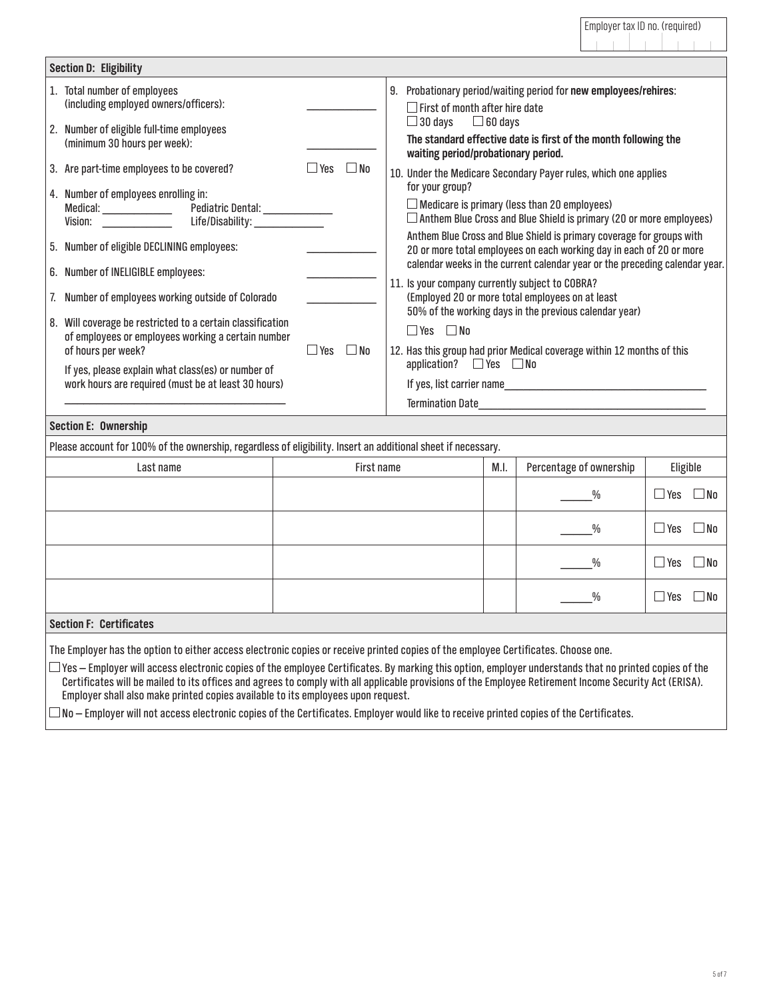| <b>Section D: Eligibility</b>                                                                                                                                                                                                                                                                                                                                                                                                                                                                                     |                               |                                                                                                                                                                                                                                                                                                                                                                                                                                                                                                                                                                                                                                                                                                                                                                                            |
|-------------------------------------------------------------------------------------------------------------------------------------------------------------------------------------------------------------------------------------------------------------------------------------------------------------------------------------------------------------------------------------------------------------------------------------------------------------------------------------------------------------------|-------------------------------|--------------------------------------------------------------------------------------------------------------------------------------------------------------------------------------------------------------------------------------------------------------------------------------------------------------------------------------------------------------------------------------------------------------------------------------------------------------------------------------------------------------------------------------------------------------------------------------------------------------------------------------------------------------------------------------------------------------------------------------------------------------------------------------------|
| 1. Total number of employees<br>(including employed owners/officers):<br>2. Number of eligible full-time employees<br>(minimum 30 hours per week):                                                                                                                                                                                                                                                                                                                                                                |                               | 9. Probationary period/waiting period for new employees/rehires:<br>$\Box$ First of month after hire date<br>$\Box$ 30 days $\Box$ 60 days<br>The standard effective date is first of the month following the<br>waiting period/probationary period.                                                                                                                                                                                                                                                                                                                                                                                                                                                                                                                                       |
| 3. Are part-time employees to be covered?<br>4. Number of employees enrolling in:<br>Life/Disability:<br>Vision:<br>5. Number of eligible DECLINING employees:<br>6. Number of INELIGIBLE employees:<br>7. Number of employees working outside of Colorado<br>8. Will coverage be restricted to a certain classification<br>of employees or employees working a certain number<br>of hours per week?<br>If yes, please explain what class(es) or number of<br>work hours are required (must be at least 30 hours) | ⊟ No<br>– Yes<br>∐ Yes<br>No. | 10. Under the Medicare Secondary Payer rules, which one applies<br>for your group?<br>$\Box$ Medicare is primary (less than 20 employees)<br>$\Box$ Anthem Blue Cross and Blue Shield is primary (20 or more employees)<br>Anthem Blue Cross and Blue Shield is primary coverage for groups with<br>20 or more total employees on each working day in each of 20 or more<br>calendar weeks in the current calendar year or the preceding calendar year.<br>11. Is your company currently subject to COBRA?<br>(Employed 20 or more total employees on at least<br>50% of the working days in the previous calendar year)<br>$\Box$ Yes $\Box$ No<br>12. Has this group had prior Medical coverage within 12 months of this<br>application? $\Box$ Yes $\Box$ No<br><b>Termination Date</b> |
| <b>Section E: Ownership</b>                                                                                                                                                                                                                                                                                                                                                                                                                                                                                       |                               |                                                                                                                                                                                                                                                                                                                                                                                                                                                                                                                                                                                                                                                                                                                                                                                            |

Please account for 100% of the ownership, regardless of eligibility. Insert an additional sheet if necessary.

| . .                            | ັ          |      |                         |                            |
|--------------------------------|------------|------|-------------------------|----------------------------|
| Last name                      | First name | M.I. | Percentage of ownership | Eligible                   |
|                                |            |      | $\frac{0}{0}$           | $\Box$ Yes $\Box$ No       |
|                                |            |      | $\frac{0}{0}$           | $\Box$ Yes $\Box$ No       |
|                                |            |      | $\frac{0}{0}$           | $\Box$ Yes<br>$\square$ No |
|                                |            |      | $\frac{0}{0}$           | $\square$ No<br>$\Box$ Yes |
| <b>Section F: Certificates</b> |            |      |                         |                            |

The Employer has the option to either access electronic copies or receive printed copies of the employee Certificates. Choose one.

 $\Box$  Yes – Employer will access electronic copies of the employee Certificates. By marking this option, employer understands that no printed copies of the Certificates will be mailed to its offices and agrees to comply with all applicable provisions of the Employee Retirement Income Security Act (ERISA). Employer shall also make printed copies available to its employees upon request.

 $\Box$  No – Employer will not access electronic copies of the Certificates. Employer would like to receive printed copies of the Certificates.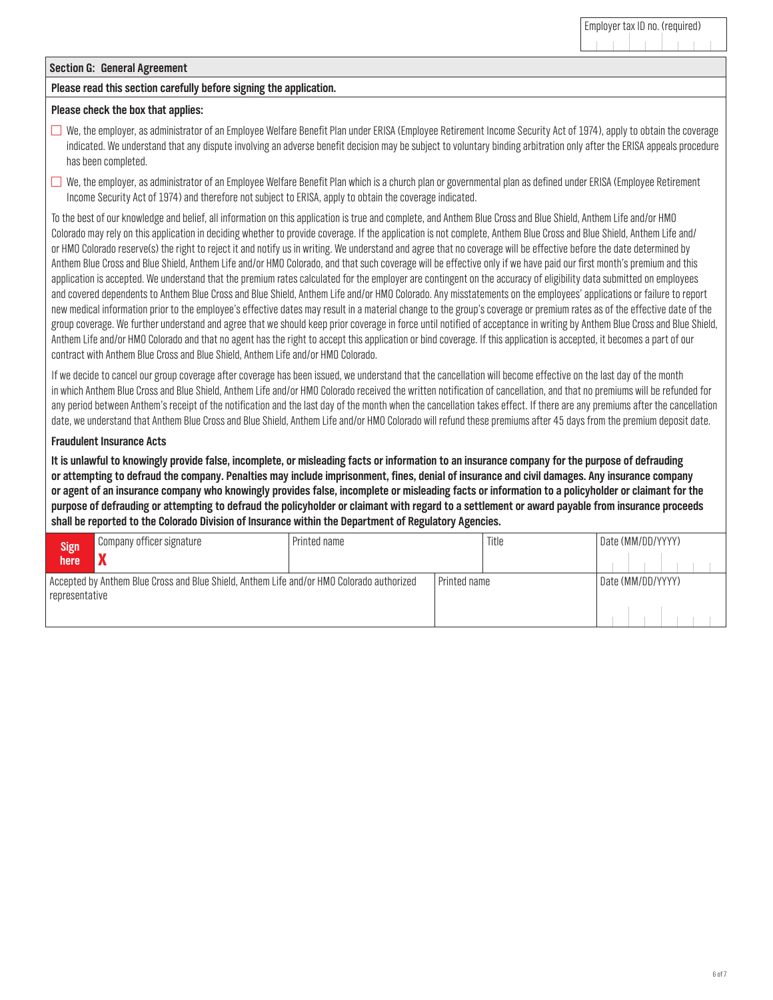#### **Section G: General Agreement**

#### **Please read this section carefully before signing the application.**

## **Please check the box that applies:**

- $\Box$  We, the employer, as administrator of an Employee Welfare Benefit Plan under ERISA (Employee Retirement Income Security Act of 1974), apply to obtain the coverage indicated. We understand that any dispute involving an adverse benefit decision may be subject to voluntary binding arbitration only after the ERISA appeals procedure has been completed.
- $\Box$  We, the employer, as administrator of an Employee Welfare Benefit Plan which is a church plan or governmental plan as defined under ERISA (Employee Retirement Income Security Act of 1974) and therefore not subject to ERISA, apply to obtain the coverage indicated.

To the best of our knowledge and belief, all information on this application is true and complete, and Anthem Blue Cross and Blue Shield, Anthem Life and/or HMO Colorado may rely on this application in deciding whether to provide coverage. If the application is not complete, Anthem Blue Cross and Blue Shield, Anthem Life and/ or HMO Colorado reserve(s) the right to reject it and notify us in writing. We understand and agree that no coverage will be effective before the date determined by Anthem Blue Cross and Blue Shield, Anthem Life and/or HMO Colorado, and that such coverage will be effective only if we have paid our first month's premium and this application is accepted. We understand that the premium rates calculated for the employer are contingent on the accuracy of eligibility data submitted on employees and covered dependents to Anthem Blue Cross and Blue Shield, Anthem Life and/or HMO Colorado. Any misstatements on the employees' applications or failure to report new medical information prior to the employee's effective dates may result in a material change to the group's coverage or premium rates as of the effective date of the group coverage. We further understand and agree that we should keep prior coverage in force until notified of acceptance in writing by Anthem Blue Cross and Blue Shield, Anthem Life and/or HMO Colorado and that no agent has the right to accept this application or bind coverage. If this application is accepted, it becomes a part of our contract with Anthem Blue Cross and Blue Shield, Anthem Life and/or HMO Colorado.

If we decide to cancel our group coverage after coverage has been issued, we understand that the cancellation will become effective on the last day of the month in which Anthem Blue Cross and Blue Shield, Anthem Life and/or HMO Colorado received the written notification of cancellation, and that no premiums will be refunded for any period between Anthem's receipt of the notification and the last day of the month when the cancellation takes effect. If there are any premiums after thecancellation date, we understand that Anthem Blue Cross and Blue Shield, Anthem Life and/or HMO Colorado will refund these premiums after 45 days from the premium deposit date.

## **Fraudulent Insurance Acts**

**It is unlawful to knowingly provide false, incomplete, or misleading facts or information to an insurance company for the purpose of defrauding or attempting to defraud the company. Penalties may include imprisonment, fines, denial of insurance and civil damages. Any insurance company or agent of an insurance company who knowingly provides false, incomplete or misleading facts or information to a policyholder or claimant for the purpose of defrauding or attempting to defraud the policyholder or claimant with regard to a settlement or award payable from insurance proceeds shall be reported to the Colorado Division of Insurance within the Department of Regulatory Agencies.**

| Sign <br>  here | Company officer signature                                                                 | Printed name |              | Title | Date (MM/DD/YYYY) |
|-----------------|-------------------------------------------------------------------------------------------|--------------|--------------|-------|-------------------|
| representative  | Accepted by Anthem Blue Cross and Blue Shield, Anthem Life and/or HMO Colorado authorized |              | Printed name |       | Date (MM/DD/YYYY) |